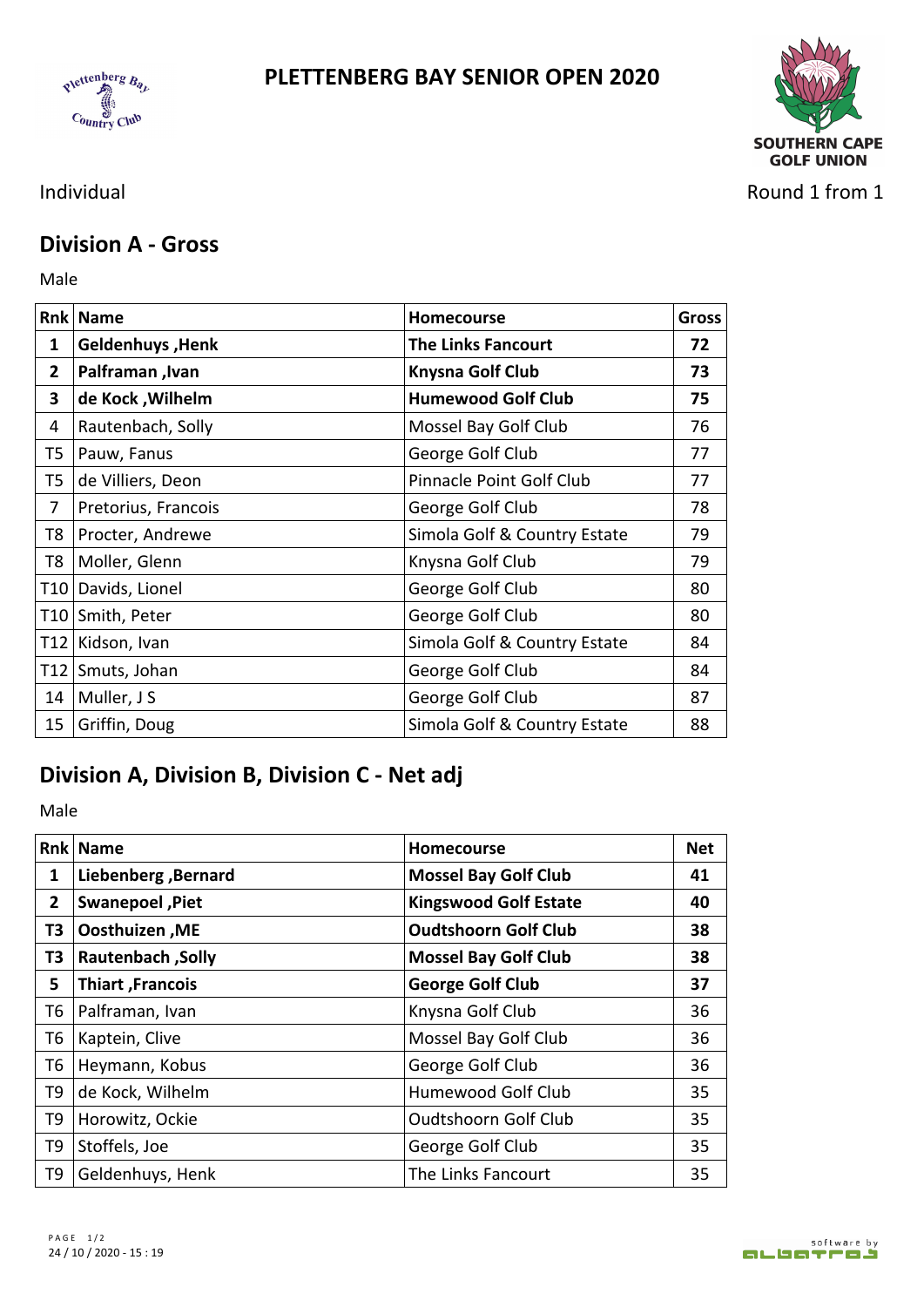





Individual Round 1 from 1

## **Division A - Gross**

Male **Male** 

|    | <b>Rnk Name</b>     | <b>Homecourse</b>            | <b>Gross</b> |
|----|---------------------|------------------------------|--------------|
| 1  | Geldenhuys, Henk    | <b>The Links Fancourt</b>    | 72           |
| 2  | Palframan, Ivan     | <b>Knysna Golf Club</b>      | 73           |
| 3  | de Kock, Wilhelm    | <b>Humewood Golf Club</b>    | 75           |
| 4  | Rautenbach, Solly   | Mossel Bay Golf Club         | 76           |
| T5 | Pauw, Fanus         | George Golf Club             | 77           |
| T5 | de Villiers, Deon   | Pinnacle Point Golf Club     | 77           |
|    | Pretorius, Francois | George Golf Club             | 78           |
| T8 | Procter, Andrewe    | Simola Golf & Country Estate | 79           |
| T8 | Moller, Glenn       | Knysna Golf Club             | 79           |
|    | T10 Davids, Lionel  | George Golf Club             | 80           |
|    | T10 Smith, Peter    | George Golf Club             | 80           |
|    | T12 Kidson, Ivan    | Simola Golf & Country Estate | 84           |
|    | T12 Smuts, Johan    | George Golf Club             | 84           |
|    | 14   Muller, $J S$  | George Golf Club             | 87           |
| 15 | Griffin, Doug       | Simola Golf & Country Estate | 88           |

## **Division A, Division B, Division C - Net adj**

Male **Male** 

|                | <b>Rnk Name</b>           | <b>Homecourse</b>            | <b>Net</b> |
|----------------|---------------------------|------------------------------|------------|
| 1              | Liebenberg, Bernard       | <b>Mossel Bay Golf Club</b>  | 41         |
| 2              | Swanepoel, Piet           | <b>Kingswood Golf Estate</b> | 40         |
| T3             | Oosthuizen, ME            | <b>Oudtshoorn Golf Club</b>  | 38         |
| T <sub>3</sub> | <b>Rautenbach</b> , Solly | <b>Mossel Bay Golf Club</b>  | 38         |
| 5              | Thiart, Francois          | George Golf Club             | 37         |
| T6             | Palframan, Ivan           | Knysna Golf Club             | 36         |
| T6             | Kaptein, Clive            | Mossel Bay Golf Club         | 36         |
| T <sub>6</sub> | Heymann, Kobus            | George Golf Club             | 36         |
| T9             | de Kock, Wilhelm          | Humewood Golf Club           | 35         |
| T9             | Horowitz, Ockie           | <b>Oudtshoorn Golf Club</b>  | 35         |
| T9             | Stoffels, Joe             | George Golf Club             | 35         |
| T9             | Geldenhuys, Henk          | The Links Fancourt           | 35         |